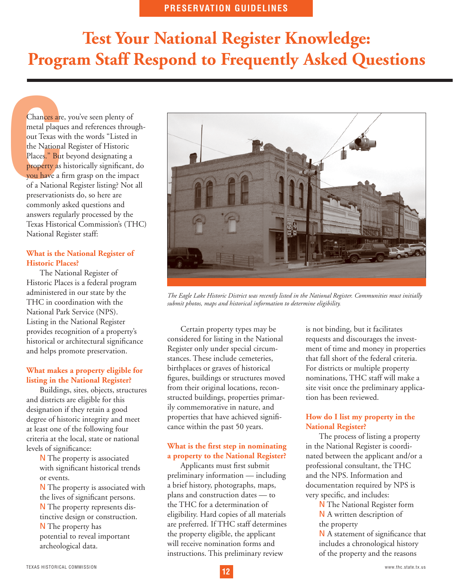# **Test Your National Register Knowledge: Program Staff Respond to Frequently Asked Questions**

**Chances are**<br>
metal plaque<br>
out Texas wi<br>
the Nationa<br>
Places." But<br>
property as l<br>
you have a f<br>
of a Nationa<br>
preservation Chances are, you've seen plenty of metal plaques and references throughout Texas with the words "Listed in the National Register of Historic Places." But beyond designating a property as historically significant, do you have a firm grasp on the impact of a National Register listing? Not all preservationists do, so here are commonly asked questions and answers regularly processed by the Texas Historical Commission's (THC) National Register staff:

### **What is the National Register of Historic Places?**

The National Register of Historic Places is a federal program administered in our state by the THC in coordination with the National Park Service (NPS). Listing in the National Register provides recognition of a property's historical or architectural significance and helps promote preservation.

# **What makes a property eligible for listing in the National Register?**

Buildings, sites, objects, structures and districts are eligible for this designation if they retain a good degree of historic integrity and meet at least one of the following four criteria at the local, state or national levels of significance:

> $\rightarrow$  The property is associated with significant historical trends or events.

 $\rightarrow$  The property is associated with the lives of significant persons.

 $\rightarrow$  The property represents distinctive design or construction.

 $\rightarrow$  The property has potential to reveal important archeological data.



*The Eagle Lake Historic District was recently listed in the National Register. Communities must initially submit photos, maps and historical information to determine eligibility.*

Certain property types may be considered for listing in the National Register only under special circumstances. These include cemeteries, birthplaces or graves of historical figures, buildings or structures moved from their original locations, reconstructed buildings, properties primarily commemorative in nature, and properties that have achieved significance within the past 50 years.

#### **What is the first step in nominating a property to the National Register?**

Applicants must first submit preliminary information — including a brief history, photographs, maps, plans and construction dates — to the THC for a determination of eligibility. Hard copies of all materials are preferred. If THC staff determines the property eligible, the applicant will receive nomination forms and instructions. This preliminary review

is not binding, but it facilitates requests and discourages the investment of time and money in properties that fall short of the federal criteria. For districts or multiple property nominations, THC staff will make a site visit once the preliminary application has been reviewed.

# **How do I list my property in the National Register?**

The process of listing a property in the National Register is coordinated between the applicant and/or a professional consultant, the THC and the NPS. Information and documentation required by NPS is very specific, and includes:

> $\rightarrow$  The National Register form  $\rightarrow$  A written description of the property

 $\rightarrow$  A statement of significance that includes a chronological history of the property and the reasons